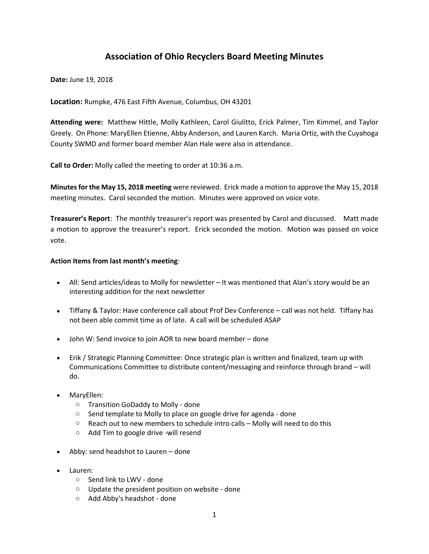# **Association of Ohio Recyclers Board Meeting Minutes**

**Date:** June 19, 2018

**Location:** Rumpke, 476 East Fifth Avenue, Columbus, OH 43201

**Attending were:** Matthew Hittle, Molly Kathleen, Carol Giulitto, Erick Palmer, Tim Kimmel, and Taylor Greely. On Phone: MaryEllen Etienne, Abby Anderson, and Lauren Karch. Maria Ortiz, with the Cuyahoga County SWMD and former board member Alan Hale were also in attendance.

**Call to Order:** Molly called the meeting to order at 10:36 a.m.

**Minutes for the May 15, 2018 meeting** were reviewed. Erick made a motion to approve the May 15, 2018 meeting minutes. Carol seconded the motion. Minutes were approved on voice vote.

**Treasurer's Report**: The monthly treasurer's report was presented by Carol and discussed. Matt made a motion to approve the treasurer's report. Erick seconded the motion. Motion was passed on voice vote.

### **Action Items from last month's meeting**:

- All: Send articles/ideas to Molly for newsletter It was mentioned that Alan's story would be an interesting addition for the next newsletter
- Tiffany & Taylor: Have conference call about Prof Dev Conference call was not held. Tiffany has not been able commit time as of late. A call will be scheduled ASAP
- John W: Send invoice to join AOR to new board member done
- Erik / Strategic Planning Committee: Once strategic plan is written and finalized, team up with Communications Committee to distribute content/messaging and reinforce through brand – will do.
- MaryEllen:
	- o Transition GoDaddy to Molly done
	- o Send template to Molly to place on google drive for agenda done
	- $\circ$  Reach out to new members to schedule intro calls Molly will need to do this
	- o Add Tim to google drive -will resend
- Abby: send headshot to Lauren done
- Lauren:
	- o Send link to LWV done
	- o Update the president position on website done
	- o Add Abby's headshot done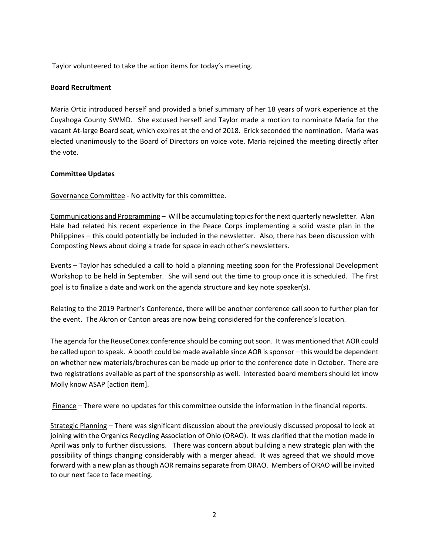Taylor volunteered to take the action items for today's meeting.

## B**oard Recruitment**

Maria Ortiz introduced herself and provided a brief summary of her 18 years of work experience at the Cuyahoga County SWMD. She excused herself and Taylor made a motion to nominate Maria for the vacant At-large Board seat, which expires at the end of 2018. Erick seconded the nomination. Maria was elected unanimously to the Board of Directors on voice vote. Maria rejoined the meeting directly after the vote.

### **Committee Updates**

Governance Committee - No activity for this committee.

Communications and Programming – Will be accumulating topics for the next quarterly newsletter. Alan Hale had related his recent experience in the Peace Corps implementing a solid waste plan in the Philippines – this could potentially be included in the newsletter. Also, there has been discussion with Composting News about doing a trade for space in each other's newsletters.

Events – Taylor has scheduled a call to hold a planning meeting soon for the Professional Development Workshop to be held in September. She will send out the time to group once it is scheduled. The first goal is to finalize a date and work on the agenda structure and key note speaker(s).

Relating to the 2019 Partner's Conference, there will be another conference call soon to further plan for the event. The Akron or Canton areas are now being considered for the conference's location.

The agenda for the ReuseConex conference should be coming out soon. It was mentioned that AOR could be called upon to speak. A booth could be made available since AOR is sponsor – this would be dependent on whether new materials/brochures can be made up prior to the conference date in October. There are two registrations available as part of the sponsorship as well. Interested board members should let know Molly know ASAP [action item].

Finance – There were no updates for this committee outside the information in the financial reports.

Strategic Planning – There was significant discussion about the previously discussed proposal to look at joining with the Organics Recycling Association of Ohio (ORAO). It was clarified that the motion made in April was only to further discussions. There was concern about building a new strategic plan with the possibility of things changing considerably with a merger ahead. It was agreed that we should move forward with a new plan as though AOR remains separate from ORAO. Members of ORAO will be invited to our next face to face meeting.